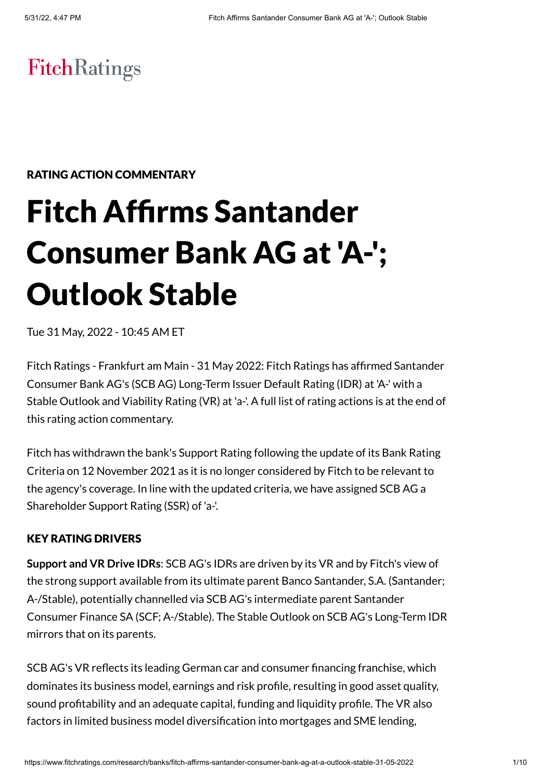# FitchRatings

#### RATING ACTION COMMENTARY

# Fitch Affirms Santander Consumer Bank AG at 'A-'; Outlook Stable

Tue 31 May, 2022 - 10:45 AM ET

Fitch Ratings - Frankfurt am Main - 31 May 2022: Fitch Ratings has affirmed Santander Consumer Bank AG's (SCB AG) Long-Term Issuer Default Rating (IDR) at 'A-' with a Stable Outlook and Viability Rating (VR) at 'a-'. A full list of rating actions is at the end of this rating action commentary.

Fitch has withdrawn the bank's Support Rating following the update of its Bank Rating Criteria on 12 November 2021 as it is no longer considered by Fitch to be relevant to the agency's coverage. In line with the updated criteria, we have assigned SCB AG a Shareholder Support Rating (SSR) of 'a-'.

#### KEY RATING DRIVERS

**Support and VR Drive IDRs**: SCB AG's IDRs are driven by its VR and by Fitch's view of the strong support available from its ultimate parent Banco Santander, S.A. (Santander; A-/Stable), potentially channelled via SCB AG's intermediate parent Santander Consumer Finance SA (SCF; A-/Stable). The Stable Outlook on SCB AG's Long-Term IDR mirrors that on its parents.

SCB AG's VR reflects its leading German car and consumer financing franchise, which dominates its business model, earnings and risk profile, resulting in good asset quality, sound profitability and an adequate capital, funding and liquidity profile. The VR also factors in limited business model diversification into mortgages and SME lending,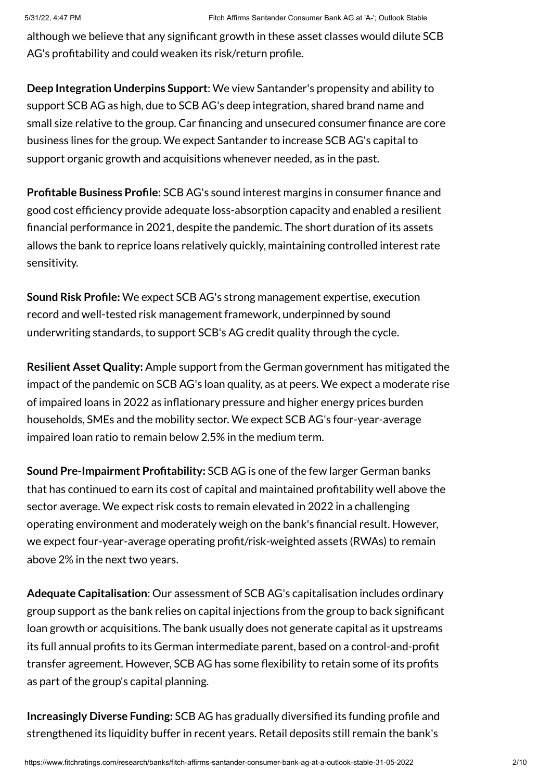although we believe that any significant growth in these asset classes would dilute SCB AG's profitability and could weaken its risk/return profile.

**Deep Integration Underpins Support**: We view Santander's propensity and ability to support SCB AG as high, due to SCB AG's deep integration, shared brand name and small size relative to the group. Car financing and unsecured consumer finance are core business lines for the group. We expect Santander to increase SCB AG's capital to support organic growth and acquisitions whenever needed, as in the past.

**Profitable Business Profile:** SCB AG's sound interest margins in consumer finance and good cost efficiency provide adequate loss-absorption capacity and enabled a resilient financial performance in 2021, despite the pandemic. The short duration of its assets allows the bank to reprice loans relatively quickly, maintaining controlled interest rate sensitivity.

**Sound Risk Profile:** We expect SCB AG's strong management expertise, execution record and well-tested risk management framework, underpinned by sound underwriting standards, to support SCB's AG credit quality through the cycle.

**Resilient Asset Quality:** Ample support from the German government has mitigated the impact of the pandemic on SCB AG's loan quality, as at peers. We expect a moderate rise of impaired loans in 2022 as inflationary pressure and higher energy prices burden households, SMEs and the mobility sector. We expect SCB AG's four-year-average impaired loan ratio to remain below 2.5% in the medium term.

**Sound Pre-Impairment Profitability:** SCB AG is one of the few larger German banks that has continued to earn its cost of capital and maintained profitability well above the sector average. We expect risk costs to remain elevated in 2022 in a challenging operating environment and moderately weigh on the bank's financial result. However, we expect four-year-average operating profit/risk-weighted assets (RWAs) to remain above 2% in the next two years.

**Adequate Capitalisation**: Our assessment of SCB AG's capitalisation includes ordinary group support as the bank relies on capital injections from the group to back significant loan growth or acquisitions. The bank usually does not generate capital as it upstreams its full annual profits to its German intermediate parent, based on a control-and-profit transfer agreement. However, SCB AG has some flexibility to retain some of its profits as part of the group's capital planning.

**Increasingly Diverse Funding:** SCB AG has gradually diversified its funding profile and strengthened its liquidity buffer in recent years. Retail deposits still remain the bank's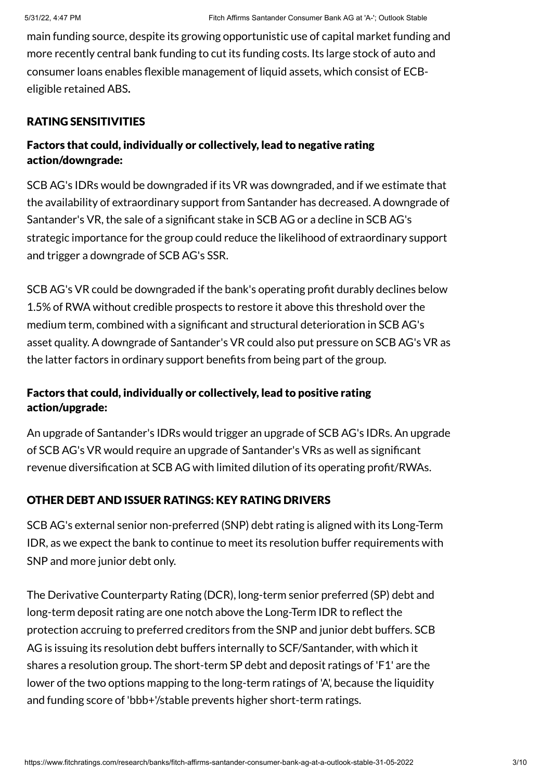main funding source, despite its growing opportunistic use of capital market funding and more recently central bank funding to cut its funding costs. Its large stock of auto and consumer loans enables flexible management of liquid assets, which consist of ECBeligible retained ABS**.**

#### RATING SENSITIVITIES

# Factors that could, individually or collectively, lead to negative rating action/downgrade:

SCB AG's IDRs would be downgraded if its VR was downgraded, and if we estimate that the availability of extraordinary support from Santander has decreased. A downgrade of Santander's VR, the sale of a significant stake in SCB AG or a decline in SCB AG's strategic importance for the group could reduce the likelihood of extraordinary support and trigger a downgrade of SCB AG's SSR.

SCB AG's VR could be downgraded if the bank's operating profit durably declines below 1.5% of RWA without credible prospects to restore it above this threshold over the medium term, combined with a significant and structural deterioration in SCB AG's asset quality. A downgrade of Santander's VR could also put pressure on SCB AG's VR as the latter factors in ordinary support benefits from being part of the group.

# Factors that could, individually or collectively, lead to positive rating action/upgrade:

An upgrade of Santander's IDRs would trigger an upgrade of SCB AG's IDRs. An upgrade of SCB AG's VR would require an upgrade of Santander's VRs as well as significant revenue diversification at SCB AG with limited dilution of its operating profit/RWAs.

#### OTHER DEBT AND ISSUER RATINGS: KEY RATING DRIVERS

SCB AG's external senior non-preferred (SNP) debt rating is aligned with its Long-Term IDR, as we expect the bank to continue to meet its resolution buffer requirements with SNP and more junior debt only.

The Derivative Counterparty Rating (DCR), long-term senior preferred (SP) debt and long-term deposit rating are one notch above the Long-Term IDR to reflect the protection accruing to preferred creditors from the SNP and junior debt buffers. SCB AG is issuing its resolution debt buffers internally to SCF/Santander, with which it shares a resolution group. The short-term SP debt and deposit ratings of 'F1' are the lower of the two options mapping to the long-term ratings of 'A', because the liquidity and funding score of 'bbb+'/stable prevents higher short-term ratings.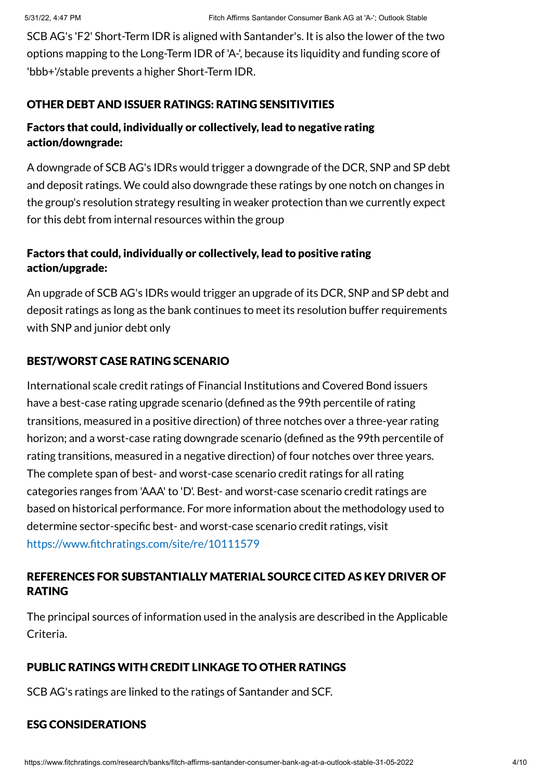SCB AG's 'F2' Short-Term IDR is aligned with Santander's. It is also the lower of the two options mapping to the Long-Term IDR of 'A-', because its liquidity and funding score of 'bbb+'/stable prevents a higher Short-Term IDR.

### OTHER DEBT AND ISSUER RATINGS: RATING SENSITIVITIES

# Factors that could, individually or collectively, lead to negative rating action/downgrade:

A downgrade of SCB AG's IDRs would trigger a downgrade of the DCR, SNP and SP debt and deposit ratings. We could also downgrade these ratings by one notch on changes in the group's resolution strategy resulting in weaker protection than we currently expect for this debt from internal resources within the group

# Factors that could, individually or collectively, lead to positive rating action/upgrade:

An upgrade of SCB AG's IDRs would trigger an upgrade of its DCR, SNP and SP debt and deposit ratings as long as the bank continues to meet its resolution buffer requirements with SNP and junior debt only

#### BEST/WORST CASE RATING SCENARIO

International scale credit ratings of Financial Institutions and Covered Bond issuers have a best-case rating upgrade scenario (defined as the 99th percentile of rating transitions, measured in a positive direction) of three notches over a three-year rating horizon; and a worst-case rating downgrade scenario (defined as the 99th percentile of rating transitions, measured in a negative direction) of four notches over three years. The complete span of best- and worst-case scenario credit ratings for all rating categories ranges from 'AAA' to 'D'. Best- and worst-case scenario credit ratings are based on historical performance. For more information about the methodology used to determine sector-specific best- and worst-case scenario credit ratings, visit <https://www.fitchratings.com/site/re/10111579>

# REFERENCES FOR SUBSTANTIALLY MATERIAL SOURCE CITED AS KEY DRIVER OF RATING

The principal sources of information used in the analysis are described in the Applicable Criteria.

# PUBLIC RATINGS WITH CREDIT LINKAGE TO OTHER RATINGS

SCB AG's ratings are linked to the ratings of Santander and SCF.

# ESG CONSIDERATIONS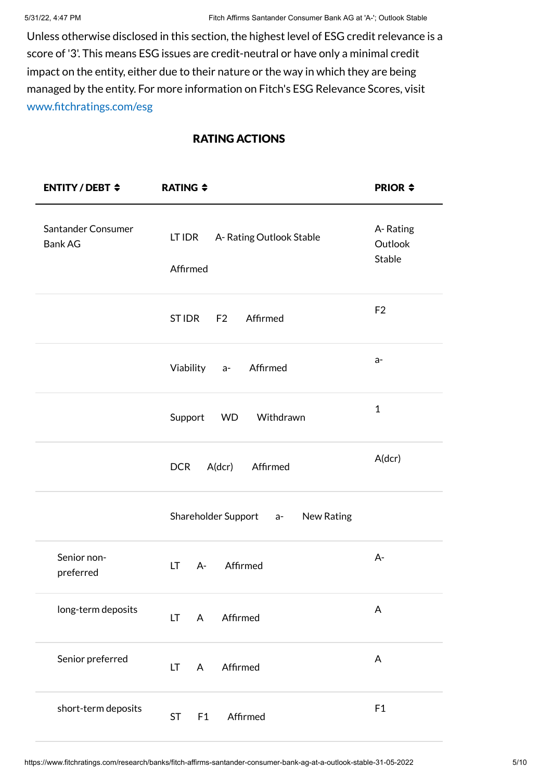Unless otherwise disclosed in this section, the highest level of ESG credit relevance is a score of '3'. This means ESG issues are credit-neutral or have only a minimal credit impact on the entity, either due to their nature or the way in which they are being managed by the entity. For more information on Fitch's ESG Relevance Scores, visit [www.fitchratings.com/esg](http://www.fitchratings.com/esg)

#### RATING ACTIONS

| <b>ENTITY/DEBT <math>\div</math></b> | <b>RATING <math>\div</math></b>               | <b>PRIOR <math>\div</math></b> |  |  |
|--------------------------------------|-----------------------------------------------|--------------------------------|--|--|
| Santander Consumer<br><b>Bank AG</b> | LT IDR<br>A-Rating Outlook Stable<br>Affirmed | A-Rating<br>Outlook<br>Stable  |  |  |
|                                      | Affirmed<br>STIDR F2                          |                                |  |  |
|                                      | $a-$                                          |                                |  |  |
|                                      | Support<br><b>WD</b><br>Withdrawn             | $\mathbf{1}$                   |  |  |
|                                      | A(dcr)                                        |                                |  |  |
|                                      | Shareholder Support a- New Rating             |                                |  |  |
| Senior non-<br>preferred             | LT.<br>Affirmed<br>$A$ -                      | $A -$                          |  |  |
| long-term deposits                   | Affirmed<br>LT.<br>$\mathsf{A}$               | A                              |  |  |
| Senior preferred                     | Affirmed<br>LT.<br>A                          | A                              |  |  |
| short-term deposits                  | Affirmed<br><b>ST</b><br>F1                   | F1                             |  |  |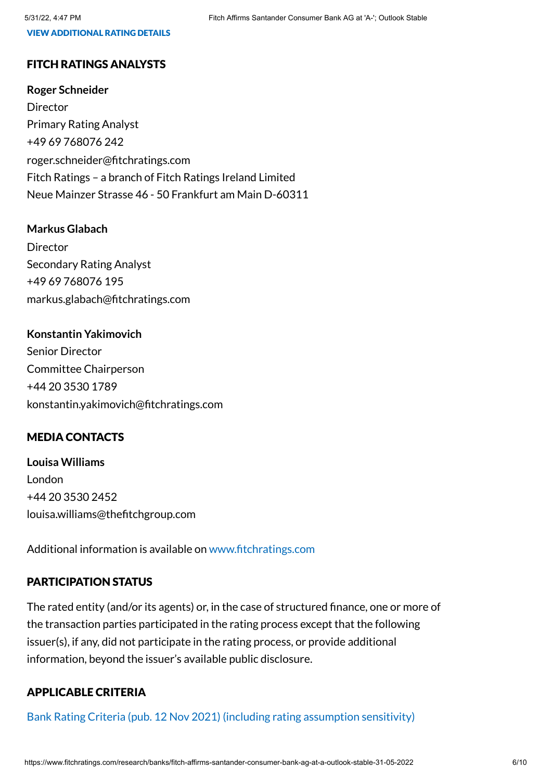VIEW ADDITIONAL RATING DETAILS

# FITCH RATINGS ANALYSTS

#### **Roger Schneider**

**Director** Primary Rating Analyst +49 69 768076 242 roger.schneider@fitchratings.com Fitch Ratings – a branch of Fitch Ratings Ireland Limited Neue Mainzer Strasse 46 - 50 Frankfurt am Main D-60311

#### **Markus Glabach**

**Director** Secondary Rating Analyst +49 69 768076 195 markus.glabach@fitchratings.com

**Konstantin Yakimovich** Senior Director Committee Chairperson +44 20 3530 1789 konstantin.yakimovich@fitchratings.com

#### MEDIA CONTACTS

**Louisa Williams** London +44 20 3530 2452 louisa.williams@thefitchgroup.com

Additional information is available on [www.fitchratings.com](http://www.fitchratings.com/)

#### PARTICIPATION STATUS

The rated entity (and/or its agents) or, in the case of structured finance, one or more of the transaction parties participated in the rating process except that the following issuer(s), if any, did not participate in the rating process, or provide additional information, beyond the issuer's available public disclosure.

#### APPLICABLE CRITERIA

Bank Rating Criteria (pub. 12 Nov 2021) (including rating [assumption](https://www.fitchratings.com/research/banks/bank-rating-criteria-12-11-2021) sensitivity)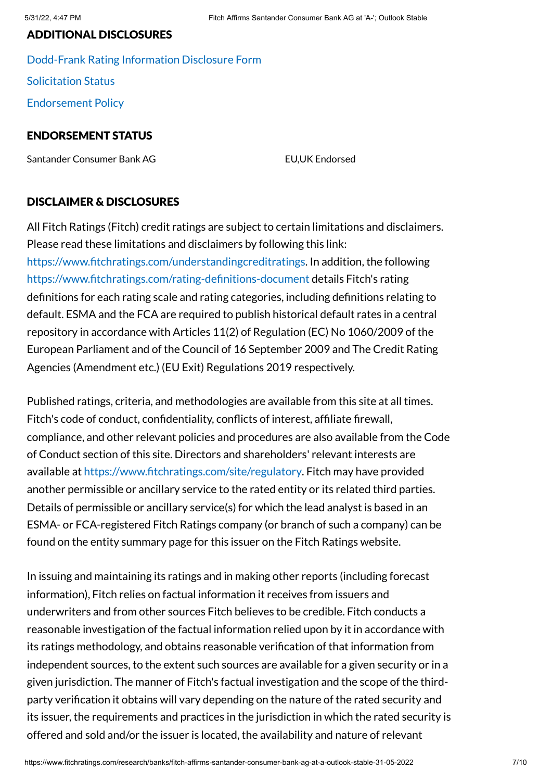#### ADDITIONAL DISCLOSURES

[Dodd-Frank](https://www.fitchratings.com/research/banks/fitch-affirms-santander-consumer-bank-ag-at-a-outlook-stable-31-05-2022/dodd-frank-disclosure) Rating Information Disclosure Form Solicitation Status [Endorsement](#page-8-0) Policy

#### ENDORSEMENT STATUS

Santander Consumer Bank AG **EU, EU, EU, UK Endorsed** 

#### DISCLAIMER & DISCLOSURES

All Fitch Ratings (Fitch) credit ratings are subject to certain limitations and disclaimers. Please read these limitations and disclaimers by following this link: [https://www.fitchratings.com/understandingcreditratings](https://www.fitchratings.com/UNDERSTANDINGCREDITRATINGS). In addition, the following [https://www.fitchratings.com/rating-definitions-document](https://www.fitchratings.com/RATING-DEFINITIONS-DOCUMENT) details Fitch's rating definitions for each rating scale and rating categories, including definitions relating to default. ESMA and the FCA are required to publish historical default rates in a central repository in accordance with Articles 11(2) of Regulation (EC) No 1060/2009 of the European Parliament and of the Council of 16 September 2009 and The Credit Rating Agencies (Amendment etc.) (EU Exit) Regulations 2019 respectively.

Published ratings, criteria, and methodologies are available from this site at all times. Fitch's code of conduct, confidentiality, conflicts of interest, affiliate firewall, compliance, and other relevant policies and procedures are also available from the Code of Conduct section of this site. Directors and shareholders' relevant interests are available at [https://www.fitchratings.com/site/regulatory](https://www.fitchratings.com/SITE/REGULATORY). Fitch may have provided another permissible or ancillary service to the rated entity or its related third parties. Details of permissible or ancillary service(s) for which the lead analyst is based in an ESMA- or FCA-registered Fitch Ratings company (or branch of such a company) can be found on the entity summary page for this issuer on the Fitch Ratings website.

In issuing and maintaining its ratings and in making other reports (including forecast information), Fitch relies on factual information it receives from issuers and underwriters and from other sources Fitch believes to be credible. Fitch conducts a reasonable investigation of the factual information relied upon by it in accordance with its ratings methodology, and obtains reasonable verification of that information from independent sources, to the extent such sources are available for a given security or in a given jurisdiction. The manner of Fitch's factual investigation and the scope of the thirdparty verification it obtains will vary depending on the nature of the rated security and its issuer, the requirements and practices in the jurisdiction in which the rated security is offered and sold and/or the issuer is located, the availability and nature of relevant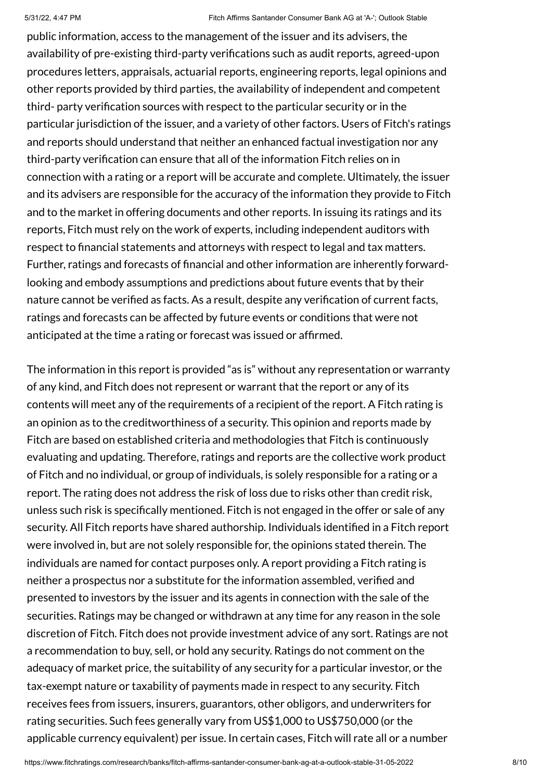public information, access to the management of the issuer and its advisers, the availability of pre-existing third-party verifications such as audit reports, agreed-upon procedures letters, appraisals, actuarial reports, engineering reports, legal opinions and other reports provided by third parties, the availability of independent and competent third- party verification sources with respect to the particular security or in the particular jurisdiction of the issuer, and a variety of other factors. Users of Fitch's ratings and reports should understand that neither an enhanced factual investigation nor any third-party verification can ensure that all of the information Fitch relies on in connection with a rating or a report will be accurate and complete. Ultimately, the issuer and its advisers are responsible for the accuracy of the information they provide to Fitch and to the market in offering documents and other reports. In issuing its ratings and its reports, Fitch must rely on the work of experts, including independent auditors with respect to financial statements and attorneys with respect to legal and tax matters. Further, ratings and forecasts of financial and other information are inherently forwardlooking and embody assumptions and predictions about future events that by their nature cannot be verified as facts. As a result, despite any verification of current facts, ratings and forecasts can be affected by future events or conditions that were not anticipated at the time a rating or forecast was issued or affirmed.

The information in this report is provided "as is" without any representation or warranty of any kind, and Fitch does not represent or warrant that the report or any of its contents will meet any of the requirements of a recipient of the report. A Fitch rating is an opinion as to the creditworthiness of a security. This opinion and reports made by Fitch are based on established criteria and methodologies that Fitch is continuously evaluating and updating. Therefore, ratings and reports are the collective work product of Fitch and no individual, or group of individuals, is solely responsible for a rating or a report. The rating does not address the risk of loss due to risks other than credit risk, unless such risk is specifically mentioned. Fitch is not engaged in the offer or sale of any security. All Fitch reports have shared authorship. Individuals identified in a Fitch report were involved in, but are not solely responsible for, the opinions stated therein. The individuals are named for contact purposes only. A report providing a Fitch rating is neither a prospectus nor a substitute for the information assembled, verified and presented to investors by the issuer and its agents in connection with the sale of the securities. Ratings may be changed or withdrawn at any time for any reason in the sole discretion of Fitch. Fitch does not provide investment advice of any sort. Ratings are not a recommendation to buy, sell, or hold any security. Ratings do not comment on the adequacy of market price, the suitability of any security for a particular investor, or the tax-exempt nature or taxability of payments made in respect to any security. Fitch receives fees from issuers, insurers, guarantors, other obligors, and underwriters for rating securities. Such fees generally vary from US\$1,000 to US\$750,000 (or the applicable currency equivalent) per issue. In certain cases, Fitch will rate all or a number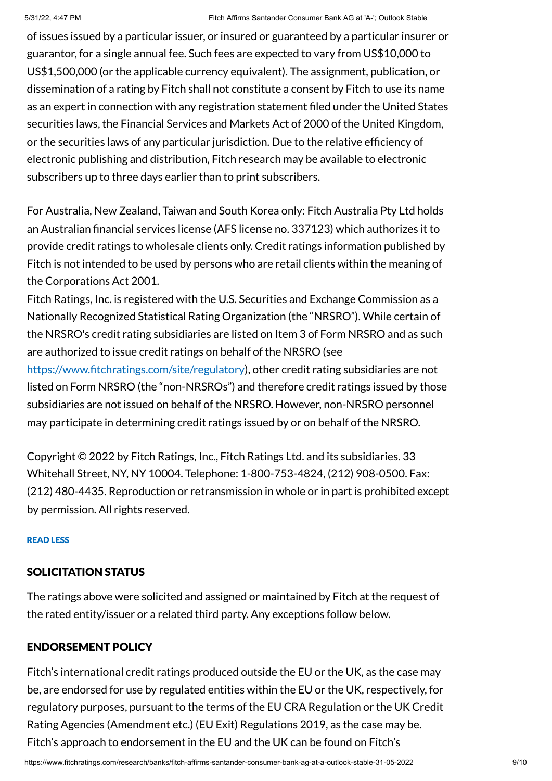of issues issued by a particular issuer, or insured or guaranteed by a particular insurer or guarantor, for a single annual fee. Such fees are expected to vary from US\$10,000 to US\$1,500,000 (or the applicable currency equivalent). The assignment, publication, or dissemination of a rating by Fitch shall not constitute a consent by Fitch to use its name as an expert in connection with any registration statement filed under the United States securities laws, the Financial Services and Markets Act of 2000 of the United Kingdom, or the securities laws of any particular jurisdiction. Due to the relative efficiency of electronic publishing and distribution, Fitch research may be available to electronic subscribers up to three days earlier than to print subscribers.

For Australia, New Zealand, Taiwan and South Korea only: Fitch Australia Pty Ltd holds an Australian financial services license (AFS license no. 337123) which authorizes it to provide credit ratings to wholesale clients only. Credit ratings information published by Fitch is not intended to be used by persons who are retail clients within the meaning of the Corporations Act 2001.

Fitch Ratings, Inc. is registered with the U.S. Securities and Exchange Commission as a Nationally Recognized Statistical Rating Organization (the "NRSRO"). While certain of the NRSRO's credit rating subsidiaries are listed on Item 3 of Form NRSRO and as such are authorized to issue credit ratings on behalf of the NRSRO (see <https://www.fitchratings.com/site/regulatory>), other credit rating subsidiaries are not listed on Form NRSRO (the "non-NRSROs") and therefore credit ratings issued by those subsidiaries are not issued on behalf of the NRSRO. However, non-NRSRO personnel may participate in determining credit ratings issued by or on behalf of the NRSRO.

Copyright © 2022 by Fitch Ratings, Inc., Fitch Ratings Ltd. and its subsidiaries. 33 Whitehall Street, NY, NY 10004. Telephone: 1-800-753-4824, (212) 908-0500. Fax: (212) 480-4435. Reproduction or retransmission in whole or in part is prohibited except by permission. All rights reserved.

#### READ LESS

#### SOLICITATION STATUS

The ratings above were solicited and assigned or maintained by Fitch at the request of the rated entity/issuer or a related third party. Any exceptions follow below.

#### <span id="page-8-0"></span>ENDORSEMENT POLICY

Fitch's international credit ratings produced outside the EU or the UK, as the case may be, are endorsed for use by regulated entities within the EU or the UK, respectively, for regulatory purposes, pursuant to the terms of the EU CRA Regulation or the UK Credit Rating Agencies (Amendment etc.) (EU Exit) Regulations 2019, as the case may be. Fitch's approach to endorsement in the EU and the UK can be found on Fitch's